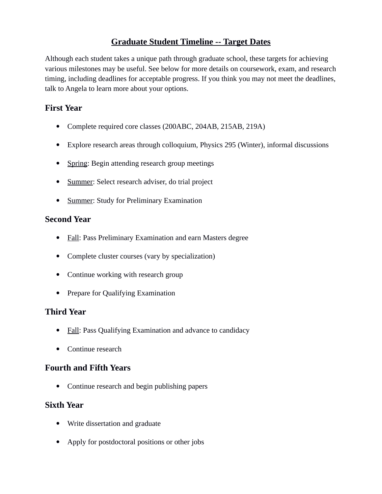# **Graduate Student Timeline -- Target Dates**

Although each student takes a unique path through graduate school, these targets for achieving various milestones may be useful. See below for more details on coursework, exam, and research timing, including deadlines for acceptable progress. If you think you may not meet the deadlines, talk to Angela to learn more about your options.

## **First Year**

- Complete required core classes (200ABC, 204AB, 215AB, 219A)
- Explore research areas through colloquium, Physics 295 (Winter), informal discussions
- Spring: Begin attending research group meetings
- Summer: Select research adviser, do trial project
- Summer: Study for Preliminary Examination

## **Second Year**

- Fall: Pass Preliminary Examination and earn Masters degree
- Complete cluster courses (vary by specialization)
- Continue working with research group
- Prepare for Qualifying Examination

# **Third Year**

- Fall: Pass Qualifying Examination and advance to candidacy
- Continue research

## **Fourth and Fifth Years**

• Continue research and begin publishing papers

## **Sixth Year**

- Write dissertation and graduate
- Apply for postdoctoral positions or other jobs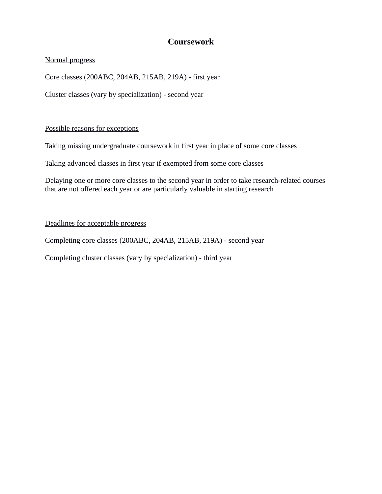# **Coursework**

### Normal progress

Core classes (200ABC, 204AB, 215AB, 219A) - first year

Cluster classes (vary by specialization) - second year

#### Possible reasons for exceptions

Taking missing undergraduate coursework in first year in place of some core classes

Taking advanced classes in first year if exempted from some core classes

Delaying one or more core classes to the second year in order to take research-related courses that are not offered each year or are particularly valuable in starting research

### Deadlines for acceptable progress

Completing core classes (200ABC, 204AB, 215AB, 219A) - second year

Completing cluster classes (vary by specialization) - third year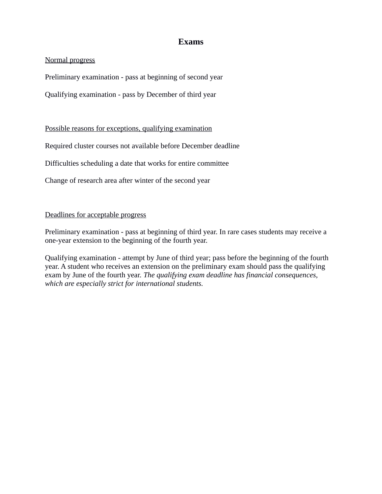## **Exams**

### Normal progress

Preliminary examination - pass at beginning of second year

Qualifying examination - pass by December of third year

Possible reasons for exceptions, qualifying examination

Required cluster courses not available before December deadline

Difficulties scheduling a date that works for entire committee

Change of research area after winter of the second year

#### Deadlines for acceptable progress

Preliminary examination - pass at beginning of third year. In rare cases students may receive a one-year extension to the beginning of the fourth year.

Qualifying examination - attempt by June of third year; pass before the beginning of the fourth year. A student who receives an extension on the preliminary exam should pass the qualifying exam by June of the fourth year. *The qualifying exam deadline has financial consequences, which are especially strict for international students.*